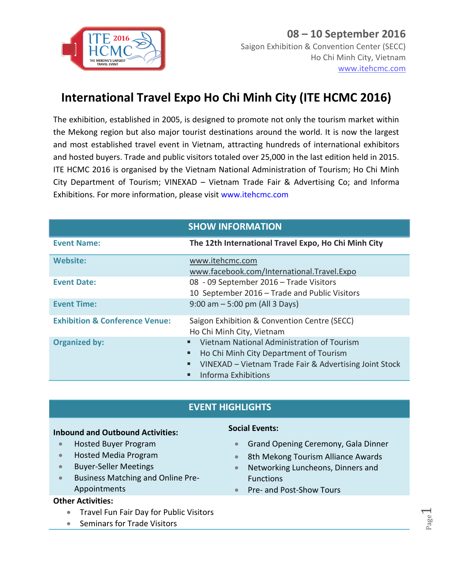

# **International Travel Expo Ho Chi Minh City (ITE HCMC 2016)**

The exhibition, established in 2005, is designed to promote not only the tourism market within the Mekong region but also major tourist destinations around the world. It is now the largest and most established travel event in Vietnam, attracting hundreds of international exhibitors and hosted buyers. Trade and public visitors totaled over 25,000 in the last edition held in 2015. ITE HCMC 2016 is organised by the Vietnam National Administration of Tourism; Ho Chi Minh City Department of Tourism; VINEXAD – Vietnam Trade Fair & Advertising Co; and Informa Exhibitions. For more information, please visit www.itehcmc.com

|                                           | <b>SHOW INFORMATION</b>                                                                                                                                                              |
|-------------------------------------------|--------------------------------------------------------------------------------------------------------------------------------------------------------------------------------------|
| <b>Event Name:</b>                        | The 12th International Travel Expo, Ho Chi Minh City                                                                                                                                 |
| <b>Website:</b>                           | www.itehcmc.com<br>www.facebook.com/International.Travel.Expo                                                                                                                        |
| <b>Event Date:</b>                        | 08 - 09 September 2016 - Trade Visitors<br>10 September 2016 - Trade and Public Visitors                                                                                             |
| <b>Event Time:</b>                        | $9:00$ am $-5:00$ pm (All 3 Days)                                                                                                                                                    |
| <b>Exhibition &amp; Conference Venue:</b> | Saigon Exhibition & Convention Centre (SECC)<br>Ho Chi Minh City, Vietnam                                                                                                            |
| <b>Organized by:</b>                      | Vietnam National Administration of Tourism<br>Ho Chi Minh City Department of Tourism<br>٠<br>VINEXAD - Vietnam Trade Fair & Advertising Joint Stock<br>٠<br>Informa Exhibitions<br>٠ |

### **EVENT HIGHLIGHTS**

#### **Inbound and Outbound Activities:**

- **•** Hosted Buyer Program
- Hosted Media Program
- Buyer-Seller Meetings
- Business Matching and Online Pre-Appointments

#### **Other Activities:**

- **Travel Fun Fair Day for Public Visitors**
- Seminars for Trade Visitors

#### **Social Events:**

- **Grand Opening Ceremony, Gala Dinner**
- 8th Mekong Tourism Alliance Awards
- Networking Luncheons, Dinners and Functions
- Pre- and Post-Show Tours